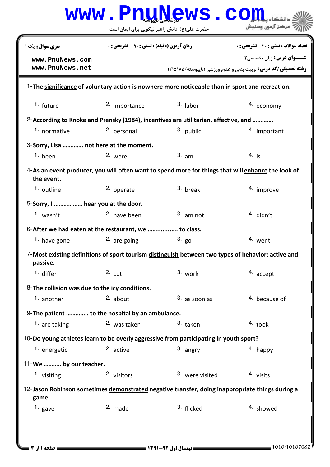|                                                                                                                  |                                                 | www.PnuNews.com                               |                                                                                                           |  |  |  |  |  |
|------------------------------------------------------------------------------------------------------------------|-------------------------------------------------|-----------------------------------------------|-----------------------------------------------------------------------------------------------------------|--|--|--|--|--|
|                                                                                                                  |                                                 | حضرت علی(ع): دانش راهبر نیکویی برای ایمان است | مركز آزمون وسنجش                                                                                          |  |  |  |  |  |
| سری سوال: یک ۱                                                                                                   | <b>زمان آزمون (دقیقه) : تستی : ۹۰ تشریحی: 0</b> |                                               | <b>تعداد سوالات : تستي : 30 ٪ تشريحي : 0</b>                                                              |  |  |  |  |  |
| www.PnuNews.com<br>www.PnuNews.net                                                                               |                                                 |                                               | <b>عنـــوان درس:</b> زبان تخصصي۲<br><b>رشته تحصیلی/کد درس:</b> تربیت بدنی و علوم ورزشی (ناپیوسته) ۱۲۱۵۱۸۵ |  |  |  |  |  |
| 1-The significance of voluntary action is nowhere more noticeable than in sport and recreation.                  |                                                 |                                               |                                                                                                           |  |  |  |  |  |
| 1. future                                                                                                        | 2. importance                                   | $3.$ labor                                    | 4. economy                                                                                                |  |  |  |  |  |
| 2-According to Knoke and Prensky (1984), incentives are utilitarian, affective, and                              |                                                 |                                               |                                                                                                           |  |  |  |  |  |
| 1. normative                                                                                                     | 2. personal                                     | 3. public                                     | 4. important                                                                                              |  |  |  |  |  |
|                                                                                                                  | 3-Sorry, Lisa  not here at the moment.          |                                               |                                                                                                           |  |  |  |  |  |
| $1.$ been                                                                                                        | 2. were                                         | $3.$ am                                       | $4.$ is                                                                                                   |  |  |  |  |  |
| 4-As an event producer, you will often want to spend more for things that will enhance the look of<br>the event. |                                                 |                                               |                                                                                                           |  |  |  |  |  |
| 1. outline                                                                                                       | 2. operate                                      | 3. break                                      | 4. improve                                                                                                |  |  |  |  |  |
| 5-Sorry, I  hear you at the door.                                                                                |                                                 |                                               |                                                                                                           |  |  |  |  |  |
| 1. $wasn't$                                                                                                      | <sup>2.</sup> have been                         | $3.$ am not                                   | $4$ didn't                                                                                                |  |  |  |  |  |
| 6-After we had eaten at the restaurant, we  to class.                                                            |                                                 |                                               |                                                                                                           |  |  |  |  |  |
| 1. have gone                                                                                                     | $2.$ are going                                  | $3. g_0$                                      | 4. went                                                                                                   |  |  |  |  |  |
| 7-Most existing definitions of sport tourism distinguish between two types of behavior: active and<br>passive.   |                                                 |                                               |                                                                                                           |  |  |  |  |  |
| 1. differ                                                                                                        | $2.$ cut                                        | 3. work                                       | 4. accept                                                                                                 |  |  |  |  |  |
| 8-The collision was due to the icy conditions.                                                                   |                                                 |                                               |                                                                                                           |  |  |  |  |  |
| 1. another                                                                                                       | $2.$ about                                      | $3.$ as soon as                               | 4. because of                                                                                             |  |  |  |  |  |
| 9-The patient  to the hospital by an ambulance.                                                                  |                                                 |                                               |                                                                                                           |  |  |  |  |  |
| 1. are taking                                                                                                    | 2. was taken                                    | 3. taken                                      | $4.$ took                                                                                                 |  |  |  |  |  |
| 10-Do young athletes learn to be overly aggressive from participating in youth sport?                            |                                                 |                                               |                                                                                                           |  |  |  |  |  |
| 1. energetic                                                                                                     | 2. active                                       | 3. angry                                      | 4. happy                                                                                                  |  |  |  |  |  |
| 11-We  by our teacher.                                                                                           |                                                 |                                               |                                                                                                           |  |  |  |  |  |
| 1. visiting                                                                                                      | 2. visitors                                     | 3. were visited                               | 4. visits                                                                                                 |  |  |  |  |  |
| 12-Jason Robinson sometimes demonstrated negative transfer, doing inappropriate things during a<br>game.         |                                                 |                                               |                                                                                                           |  |  |  |  |  |
| 1. gave                                                                                                          | 2. made                                         | 3. flicked                                    | <sup>4.</sup> showed                                                                                      |  |  |  |  |  |
|                                                                                                                  |                                                 |                                               |                                                                                                           |  |  |  |  |  |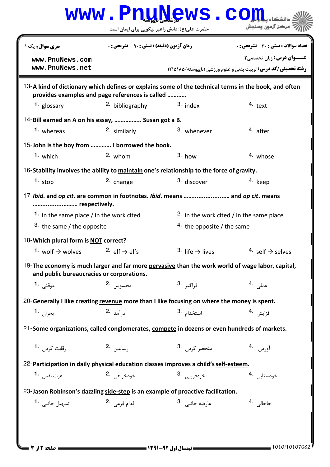|                                                                                                                                               |                                                  | www.PnuNews.co                                       |                                                                                                          |  |  |
|-----------------------------------------------------------------------------------------------------------------------------------------------|--------------------------------------------------|------------------------------------------------------|----------------------------------------------------------------------------------------------------------|--|--|
|                                                                                                                                               |                                                  | حضرت علی(ع): دانش راهبر نیکویی برای ایمان است        | ُ ' مرڪز آزمون وسنڊش                                                                                     |  |  |
| <b>سری سوال :</b> یک ۱                                                                                                                        | <b>زمان آزمون (دقیقه) : تستی : ۹۰٪ تشریحی: 0</b> |                                                      | <b>تعداد سوالات : تستی : 30 ٪ تشریحی : 0</b>                                                             |  |  |
| www.PnuNews.com<br>www.PnuNews.net                                                                                                            |                                                  |                                                      | <b>عنــوان درس:</b> زبان تخصصي٢<br><b>رشته تحصیلی/کد درس:</b> تربیت بدنی و علوم ورزشی (ناپیوسته) ۱۲۱۵۱۸۵ |  |  |
|                                                                                                                                               | provides examples and page references is called  |                                                      | 13-A kind of dictionary which defines or explains some of the technical terms in the book, and often     |  |  |
| 1. glossary                                                                                                                                   | <sup>2</sup> bibliography                        | $3.$ index                                           | 4. text                                                                                                  |  |  |
| 14-Bill earned an A on his essay,  Susan got a B.                                                                                             |                                                  |                                                      |                                                                                                          |  |  |
| 1. whereas                                                                                                                                    | 2. similarly                                     | 3. whenever                                          | 4. after                                                                                                 |  |  |
| 15-John is the boy from  I borrowed the book.                                                                                                 |                                                  |                                                      |                                                                                                          |  |  |
| $1.$ which                                                                                                                                    | $2.$ whom                                        | $3.$ how                                             | 4. whose                                                                                                 |  |  |
| 16-Stability involves the ability to maintain one's relationship to the force of gravity.                                                     |                                                  |                                                      |                                                                                                          |  |  |
| 1. $stop$                                                                                                                                     | 2. change                                        | 3. discover                                          | 4. keep                                                                                                  |  |  |
| 17-Ibid. and op cit. are common in footnotes. Ibid. means  and op cit. means<br>respectively.                                                 |                                                  |                                                      |                                                                                                          |  |  |
| 1. in the same place / in the work cited                                                                                                      |                                                  |                                                      | <sup>2.</sup> in the work cited / in the same place                                                      |  |  |
| 3. the same / the opposite                                                                                                                    |                                                  |                                                      | 4. the opposite / the same                                                                               |  |  |
| 18-Which plural form is NOT correct?                                                                                                          |                                                  |                                                      |                                                                                                          |  |  |
| 1. wolf $\rightarrow$ wolves $2.$ elf $\rightarrow$ elfs                                                                                      |                                                  | 3. life $\rightarrow$ lives                          | 4. self $\rightarrow$ selves                                                                             |  |  |
| 19-The economy is much larger and far more pervasive than the work world of wage labor, capital,<br>and public bureaucracies or corporations. |                                                  |                                                      |                                                                                                          |  |  |
| موقتى 1.                                                                                                                                      | محسوس 2.                                         | ف <sub>ر</sub> اگي <sub>ر</sub> .3                   | عملی .4                                                                                                  |  |  |
| 20-Generally I like creating revenue more than I like focusing on where the money is spent.                                                   |                                                  |                                                      |                                                                                                          |  |  |
| بحرا <sub>ن</sub> <b>-1</b>                                                                                                                   | د, آمد .2                                        | 3. استخدام                                           | افزايش 4.                                                                                                |  |  |
|                                                                                                                                               |                                                  |                                                      |                                                                                                          |  |  |
| 21-Some organizations, called conglomerates, compete in dozens or even hundreds of markets.                                                   |                                                  |                                                      |                                                                                                          |  |  |
| رقابت کردن 1.                                                                                                                                 | , ساند <sub>ن</sub> .2                           | 3. منحصر کردن                                        | آوردن 4.                                                                                                 |  |  |
| 22-Participation in daily physical education classes improves a child's self-esteem.                                                          |                                                  |                                                      |                                                                                                          |  |  |
| عزت نفس <b>1.</b>                                                                                                                             | خودخواهي 2.                                      | خودفريبي .3                                          | خودستايى 4.                                                                                              |  |  |
| 23-Jason Robinson's dazzling side-step is an example of proactive facilitation.                                                               |                                                  |                                                      |                                                                                                          |  |  |
| تسهيل جانبي 1.                                                                                                                                | اقدام فرعی 2.                                    | عا <sub>ر</sub> ضه جانبي <sup>.3</sup>               | جاخال <sub>ی،</sub> 4                                                                                    |  |  |
|                                                                                                                                               |                                                  |                                                      |                                                                                                          |  |  |
| = صفحه 12; 3                                                                                                                                  |                                                  | <b>ـــــ ن</b> یمسال اول ۹۲-۱۳۹۱ <b>ــــــــــــ</b> | $= 1010/10107682$                                                                                        |  |  |